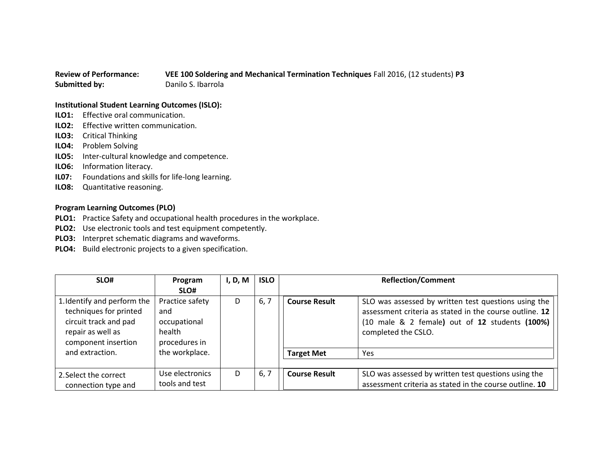## **Review of Performance: VEE 100 Soldering and Mechanical Termination Techniques** Fall 2016, (12 students) **P3 Submitted by:** Danilo S. Ibarrola

## **Institutional Student Learning Outcomes (ISLO):**

- **ILO1:** Effective oral communication.
- **ILO2:** Effective written communication.
- **ILO3:** Critical Thinking
- **ILO4:** Problem Solving
- **ILO5:** Inter-cultural knowledge and competence.
- **ILO6:** Information literacy.
- **IL07:** Foundations and skills for life-long learning.
- **ILO8:** Quantitative reasoning.

## **Program Learning Outcomes (PLO)**

- **PLO1:** Practice Safety and occupational health procedures in the workplace.
- **PLO2:** Use electronic tools and test equipment competently.
- **PLO3:** Interpret schematic diagrams and waveforms.
- **PLO4:** Build electronic projects to a given specification.

| SLO#                                                                                                                       | Program<br>SLO#                                                   | I, D, M | <b>ISLO</b> |                      | <b>Reflection/Comment</b>                                                                                                                                                                |
|----------------------------------------------------------------------------------------------------------------------------|-------------------------------------------------------------------|---------|-------------|----------------------|------------------------------------------------------------------------------------------------------------------------------------------------------------------------------------------|
| 1. Identify and perform the<br>techniques for printed<br>circuit track and pad<br>repair as well as<br>component insertion | Practice safety<br>and<br>occupational<br>health<br>procedures in | D       | 6, 7        | <b>Course Result</b> | SLO was assessed by written test questions using the<br>assessment criteria as stated in the course outline. 12<br>(10 male & 2 female) out of 12 students (100%)<br>completed the CSLO. |
| and extraction.                                                                                                            | the workplace.                                                    |         |             | <b>Target Met</b>    | Yes                                                                                                                                                                                      |
| 2. Select the correct<br>connection type and                                                                               | Use electronics<br>tools and test                                 | D.      | 6, 7        | <b>Course Result</b> | SLO was assessed by written test questions using the<br>assessment criteria as stated in the course outline. 10                                                                          |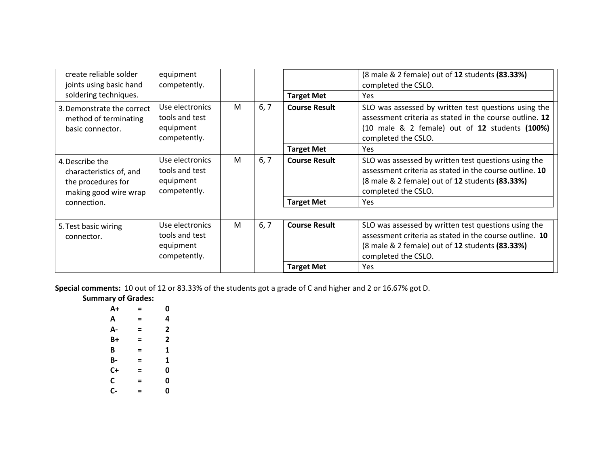| create reliable solder<br>joints using basic hand<br>soldering techniques.                | equipment<br>competently.                                      |   |      | <b>Target Met</b>    | (8 male & 2 female) out of 12 students (83.33%)<br>completed the CSLO.<br><b>Yes</b>                                                                                                                            |
|-------------------------------------------------------------------------------------------|----------------------------------------------------------------|---|------|----------------------|-----------------------------------------------------------------------------------------------------------------------------------------------------------------------------------------------------------------|
| 3. Demonstrate the correct<br>method of terminating<br>basic connector.                   | Use electronics<br>tools and test<br>equipment<br>competently. | M | 6, 7 | <b>Course Result</b> | SLO was assessed by written test questions using the<br>assessment criteria as stated in the course outline. 12<br>$(10 \text{ male } 8, 2 \text{ female})$ out of 12 students $(100\%)$<br>completed the CSLO. |
|                                                                                           |                                                                |   |      | <b>Target Met</b>    | Yes                                                                                                                                                                                                             |
| 4. Describe the<br>characteristics of, and<br>the procedures for<br>making good wire wrap | Use electronics<br>tools and test<br>equipment<br>competently. | M | 6, 7 | <b>Course Result</b> | SLO was assessed by written test questions using the<br>assessment criteria as stated in the course outline. 10<br>(8 male & 2 female) out of 12 students (83.33%)<br>completed the CSLO.                       |
| connection.                                                                               |                                                                |   |      | <b>Target Met</b>    | Yes                                                                                                                                                                                                             |
|                                                                                           |                                                                |   |      |                      |                                                                                                                                                                                                                 |
| 5. Test basic wiring<br>connector.                                                        | Use electronics<br>tools and test<br>equipment<br>competently. | M | 6, 7 | <b>Course Result</b> | SLO was assessed by written test questions using the<br>assessment criteria as stated in the course outline. 10<br>(8 male & 2 female) out of 12 students (83.33%)<br>completed the CSLO.                       |
|                                                                                           |                                                                |   |      | <b>Target Met</b>    | <b>Yes</b>                                                                                                                                                                                                      |

**Special comments:** 10 out of 12 or 83.33% of the students got a grade of C and higher and 2 or 16.67% got D.

**Summary of Grades:**

| A+ | = | 0 |
|----|---|---|
| А  | = | 4 |
| А- | = | 2 |
| B+ | = | 2 |
| B  | = | 1 |
| В- | Ξ | 1 |
| C+ | = | 0 |
| C  | = | 0 |
| C- | = | 0 |